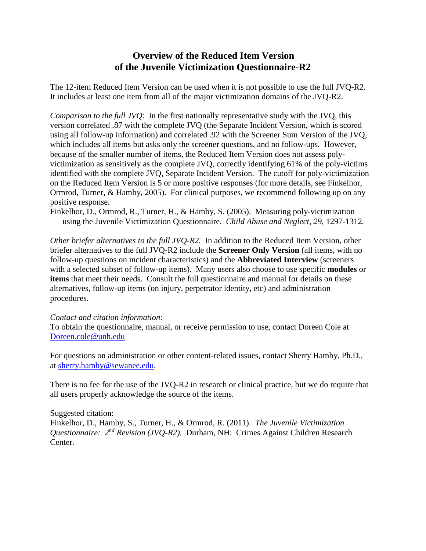# **Overview of the Reduced Item Version of the Juvenile Victimization Questionnaire-R2**

The 12-item Reduced Item Version can be used when it is not possible to use the full JVQ-R2. It includes at least one item from all of the major victimization domains of the JVQ-R2.

*Comparison to the full JVQ*: In the first nationally representative study with the JVQ, this version correlated .87 with the complete JVQ (the Separate Incident Version, which is scored using all follow-up information) and correlated .92 with the Screener Sum Version of the JVQ, which includes all items but asks only the screener questions, and no follow-ups. However, because of the smaller number of items, the Reduced Item Version does not assess polyvictimization as sensitively as the complete JVQ, correctly identifying 61% of the poly-victims identified with the complete JVQ, Separate Incident Version. The cutoff for poly-victimization on the Reduced Item Version is 5 or more positive responses (for more details, see Finkelhor, Ormrod, Turner, & Hamby, 2005). For clinical purposes, we recommend following up on any positive response.

Finkelhor, D., Ormrod, R., Turner, H., & Hamby, S. (2005). Measuring poly-victimization using the Juvenile Victimization Questionnaire. *Child Abuse and Neglect, 29*, 1297-1312*.*

*Other briefer alternatives to the full JVQ-R2.* In addition to the Reduced Item Version, other briefer alternatives to the full JVQ-R2 include the **Screener Only Version** (all items, with no follow-up questions on incident characteristics) and the **Abbreviated Interview** (screeners with a selected subset of follow-up items). Many users also choose to use specific **modules** or **items** that meet their needs. Consult the full questionnaire and manual for details on these alternatives, follow-up items (on injury, perpetrator identity, etc) and administration procedures.

#### *Contact and citation information:*

To obtain the questionnaire, manual, or receive permission to use, contact Doreen Cole at [Doreen.cole@unh.edu](mailto:Doreen.cole@unh.edu)

For questions on administration or other content-related issues, contact Sherry Hamby, Ph.D., at [sherry.hamby@sewanee.edu.](mailto:sherry.hamby@sewanee.edu)

There is no fee for the use of the JVQ-R2 in research or clinical practice, but we do require that all users properly acknowledge the source of the items.

#### Suggested citation:

Finkelhor, D., Hamby, S., Turner, H., & Ormrod, R. (2011). *The Juvenile Victimization Questionnaire: 2nd Revision (JVQ-R2).* Durham, NH: Crimes Against Children Research Center.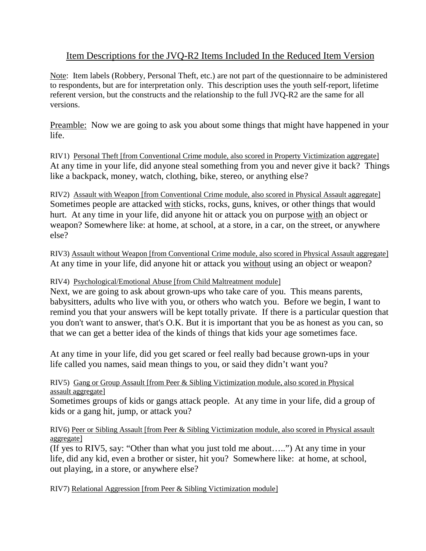# Item Descriptions for the JVQ-R2 Items Included In the Reduced Item Version

Note: Item labels (Robbery, Personal Theft, etc.) are not part of the questionnaire to be administered to respondents, but are for interpretation only. This description uses the youth self-report, lifetime referent version, but the constructs and the relationship to the full JVQ-R2 are the same for all versions.

Preamble: Now we are going to ask you about some things that might have happened in your life.

RIV1) Personal Theft [from Conventional Crime module, also scored in Property Victimization aggregate] At any time in your life, did anyone steal something from you and never give it back? Things like a backpack, money, watch, clothing, bike, stereo, or anything else?

RIV2) Assault with Weapon [from Conventional Crime module, also scored in Physical Assault aggregate] Sometimes people are attacked with sticks, rocks, guns, knives, or other things that would hurt. At any time in your life, did anyone hit or attack you on purpose with an object or weapon? Somewhere like: at home, at school, at a store, in a car, on the street, or anywhere else?

RIV3) Assault without Weapon [from Conventional Crime module, also scored in Physical Assault aggregate] At any time in your life, did anyone hit or attack you without using an object or weapon?

## RIV4) Psychological/Emotional Abuse [from Child Maltreatment module]

Next, we are going to ask about grown-ups who take care of you. This means parents, babysitters, adults who live with you, or others who watch you. Before we begin, I want to remind you that your answers will be kept totally private. If there is a particular question that you don't want to answer, that's O.K. But it is important that you be as honest as you can, so that we can get a better idea of the kinds of things that kids your age sometimes face.

At any time in your life, did you get scared or feel really bad because grown-ups in your life called you names, said mean things to you, or said they didn't want you?

### RIV5) Gang or Group Assault [from Peer & Sibling Victimization module, also scored in Physical assault aggregate]

Sometimes groups of kids or gangs attack people. At any time in your life, did a group of kids or a gang hit, jump, or attack you?

### RIV6) Peer or Sibling Assault [from Peer & Sibling Victimization module, also scored in Physical assault aggregate]

(If yes to RIV5, say: "Other than what you just told me about…..") At any time in your life, did any kid, even a brother or sister, hit you? Somewhere like: at home, at school, out playing, in a store, or anywhere else?

RIV7) Relational Aggression [from Peer & Sibling Victimization module]